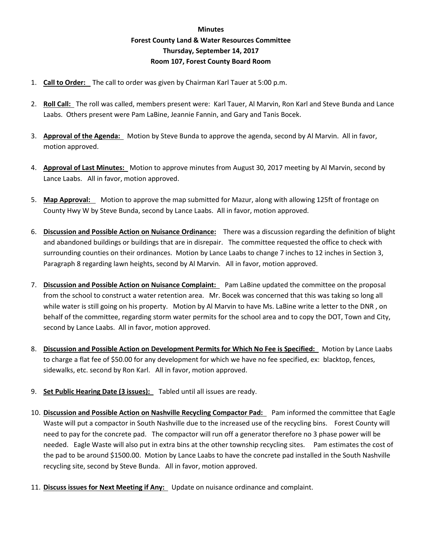## **Minutes Forest County Land & Water Resources Committee Thursday, September 14, 2017 Room 107, Forest County Board Room**

- 1. **Call to Order:** The call to order was given by Chairman Karl Tauer at 5:00 p.m.
- 2. **Roll Call:** The roll was called, members present were: Karl Tauer, Al Marvin, Ron Karl and Steve Bunda and Lance Laabs. Others present were Pam LaBine, Jeannie Fannin, and Gary and Tanis Bocek.
- 3. **Approval of the Agenda:** Motion by Steve Bunda to approve the agenda, second by Al Marvin. All in favor, motion approved.
- 4. **Approval of Last Minutes:** Motion to approve minutes from August 30, 2017 meeting by Al Marvin, second by Lance Laabs. All in favor, motion approved.
- 5. **Map Approval:** Motion to approve the map submitted for Mazur, along with allowing 125ft of frontage on County Hwy W by Steve Bunda, second by Lance Laabs. All in favor, motion approved.
- 6. **Discussion and Possible Action on Nuisance Ordinance:** There was a discussion regarding the definition of blight and abandoned buildings or buildings that are in disrepair. The committee requested the office to check with surrounding counties on their ordinances. Motion by Lance Laabs to change 7 inches to 12 inches in Section 3, Paragraph 8 regarding lawn heights, second by Al Marvin. All in favor, motion approved.
- 7. **Discussion and Possible Action on Nuisance Complaint:** Pam LaBine updated the committee on the proposal from the school to construct a water retention area. Mr. Bocek was concerned that this was taking so long all while water is still going on his property. Motion by Al Marvin to have Ms. LaBine write a letter to the DNR , on behalf of the committee, regarding storm water permits for the school area and to copy the DOT, Town and City, second by Lance Laabs. All in favor, motion approved.
- 8. **Discussion and Possible Action on Development Permits for Which No Fee is Specified:** Motion by Lance Laabs to charge a flat fee of \$50.00 for any development for which we have no fee specified, ex: blacktop, fences, sidewalks, etc. second by Ron Karl. All in favor, motion approved.
- 9. **Set Public Hearing Date (3 issues):** Tabled until all issues are ready.
- 10. **Discussion and Possible Action on Nashville Recycling Compactor Pad:** Pam informed the committee that Eagle Waste will put a compactor in South Nashville due to the increased use of the recycling bins. Forest County will need to pay for the concrete pad. The compactor will run off a generator therefore no 3 phase power will be needed. Eagle Waste will also put in extra bins at the other township recycling sites. Pam estimates the cost of the pad to be around \$1500.00. Motion by Lance Laabs to have the concrete pad installed in the South Nashville recycling site, second by Steve Bunda. All in favor, motion approved.
- 11. **Discuss issues for Next Meeting if Any:** Update on nuisance ordinance and complaint.